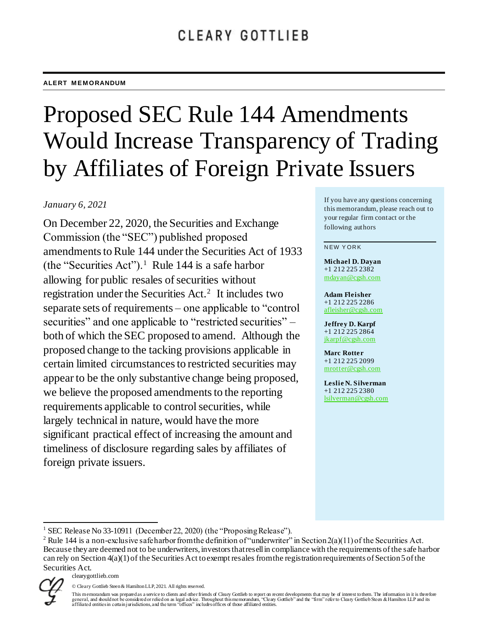# Proposed SEC Rule 144 Amendments Would Increase Transparency of Trading by Affiliates of Foreign Private Issuers

## *January 6, 2021*

On December 22, 2020, the Securities and Exchange Commission (the "SEC") published proposed amendments to Rule 144 under the Securities Act of 1933 (the "Securities Act").<sup>1</sup> Rule 144 is a safe harbor allowing for public resales of securities without registration under the Securities Act.<sup>2</sup> It includes two separate sets of requirements – one applicable to "control securities" and one applicable to "restricted securities" – both of which the SEC proposed to amend. Although the proposed change to the tacking provisions applicable in certain limited circumstances to restricted securities may appear to be the only substantive change being proposed, we believe the proposed amendments to the reporting requirements applicable to control securities, while largely technical in nature, would have the more significant practical effect of increasing the amount and timeliness of disclosure regarding sales by affiliates of foreign private issuers.

If you have any questions concerning this memorandum, please reach out to your regular firm contact or the following authors

#### **NEW YORK**

**Michael D. Dayan** +1 212 225 2382 mdayan@cgsh.com

**Adam Fleisher** +1 212 225 2286 [afleisher@cgsh.com](mailto:afleisher@cgsh.com)

**Jeffrey D. Karpf** +1 212 225 2864 [jkarpf@cgsh.com](mailto:jkarpf@cgsh.com)

**Marc Rotter** +1 212 225 2099 [mrotter@cgsh.com](mailto:mrotter@cgsh.com)

**Leslie N. Silverman** +1 212 225 2380 [lsilverman@cgsh.com](mailto:lsilverman@cgsh.com)

<sup>&</sup>lt;sup>2</sup> Rule 144 is a non-exclusive safe harbor from the definition of "underwriter" in Section  $2(a)(1)$  of the Securities Act. Because they are deemed not to be underwriters, investors that resell in compliance with the requirements of the safe harbor can rely on Section 4(a)(1) of the Securities Act to exempt resales from the registration requirements of Section 5 of the Securities Act.



l

<sup>&</sup>lt;sup>1</sup> SEC Release No 33-10911 (December 22, 2020) (the "Proposing Release").

<sup>©</sup> Cleary Gottlieb Steen & Hamilton LLP, 2021. All rights reserved.

This memorandum was prepared as a service to clients and other friends of Cleary Gottlieb to report on recent developments that may be of interest to them. The information in it is there fore<br>general, and should not be con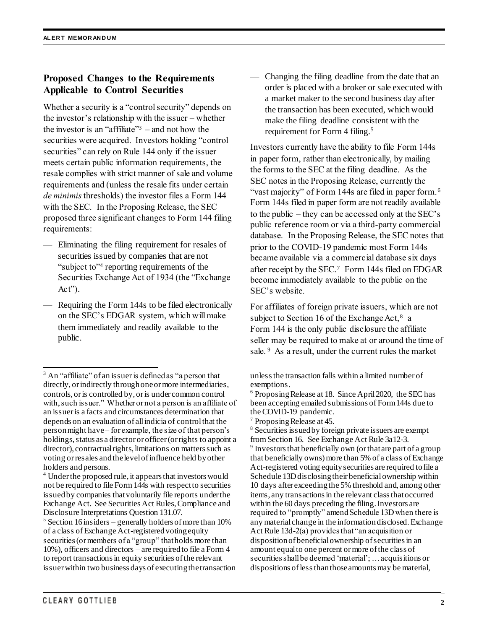## **Proposed Changes to the Requirements Applicable to Control Securities**

Whether a security is a "control security" depends on the investor's relationship with the issuer – whether the investor is an "affiliate" $3$  – and not how the securities were acquired. Investors holding "control securities" can rely on Rule 144 only if the issuer meets certain public information requirements, the resale complies with strict manner of sale and volume requirements and (unless the resale fits under certain *de minimis*thresholds) the investor files a Form 144 with the SEC. In the Proposing Release, the SEC proposed three significant changes to Form 144 filing requirements:

- Eliminating the filing requirement for resales of securities issued by companies that are not "subject to"<sup>4</sup> reporting requirements of the Securities Exchange Act of 1934 (the "Exchange Act").
- Requiring the Form 144s to be filed electronically on the SEC's EDGAR system, which will make them immediately and readily available to the public.

Changing the filing deadline from the date that an order is placed with a broker or sale executed with a market maker to the second business day after the transaction has been executed, which would make the filing deadline consistent with the requirement for Form 4 filing.<sup>5</sup>

Investors currently have the ability to file Form 144s in paper form, rather than electronically, by mailing the forms to the SEC at the filing deadline. As the SEC notes in the Proposing Release, currently the "vast majority" of Form 144s are filed in paper form.<sup>6</sup> Form 144s filed in paper form are not readily available to the public – they can be accessed only at the SEC's public reference room or via a third-party commercial database. In the Proposing Release, the SEC notes that prior to the COVID-19 pandemic most Form 144s became available via a commercial database six days after receipt by the SEC.<sup>7</sup> Form 144s filed on EDGAR become immediately available to the public on the SEC's website.

For affiliates of foreign private issuers, which are not subject to Section 16 of the Exchange Act, $8$  a Form 144 is the only public disclosure the affiliate seller may be required to make at or around the time of sale. <sup>9</sup> As a result, under the current rules the market

l

 $3$  An "affiliate" of an issuer is defined as "a person that directly, or indirectly through one or more intermediaries, controls, or is controlled by, or is under common control with, such issuer." Whether or not a person is an affiliate of an issuer is a facts and circumstances determination that depends on an evaluation of all indicia of control that the person might have – for example, the size of that person's holdings, status as a director or officer (or rights to appoint a director), contractual rights, limitations on matters such as voting or resales and the level of influence held by other holders and persons.

<sup>4</sup> Under the proposed rule, it appears that investors would not be required to file Form 144s with respect to securities issued by companies that voluntarily file reports under the Exchange Act. See Securities Act Rules, Compliance and Disclosure Interpretations Question 131.07.

 $5$  Section 16 insiders – generally holders of more than 10% of a class of Exchange Act-registered voting equity securities (or members of a "group" that holds more than 10%), officers and directors – are required to file a Form 4 to report transactions in equity securities of the relevant issuer within two business days of executing the transaction

unless the transaction falls within a limited number of exemptions.

<sup>6</sup> Proposing Release at 18. Since April 2020, the SEC has been accepting emailed submissions of Form 144s due to the COVID-19 pandemic.

 $7$  Proposing Release at 45.

<sup>8</sup> Securities issued by foreign private issuers are exempt from Section 16. See Exchange Act Rule 3a12-3. <sup>9</sup> Investors that beneficially own (or that are part of a group that beneficially owns) more than 5% of a class of Exchange Act-registered voting equity securities are required to file a Schedule 13D disclosing their beneficial ownership within 10 days after exceeding the 5% threshold and, among other items, any transactions in the relevant class that occurred within the 60 days preceding the filing. Investors are required to "promptly" amend Schedule 13D when there is any material change in the information disclosed. Exchange Act Rule 13d-2(a) provides that "an acquisition or disposition of beneficial ownership of securities in an amount equal to one percent or more of the class of securities shall be deemed 'material'; … acquisitions or dispositions of less than those amounts may be material,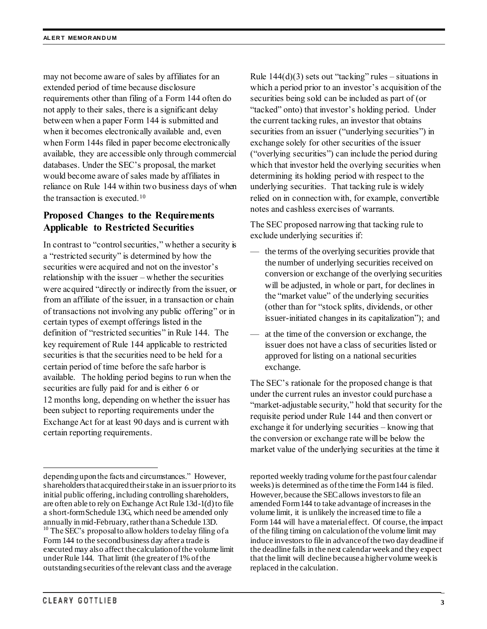may not become aware of sales by affiliates for an extended period of time because disclosure requirements other than filing of a Form 144 often do not apply to their sales, there is a significant delay between when a paper Form 144 is submitted and when it becomes electronically available and, even when Form 144s filed in paper become electronically available, they are accessible only through commercial databases. Under the SEC's proposal, the market would become aware of sales made by affiliates in reliance on Rule 144 within two business days of when the transaction is executed.<sup>10</sup>

## **Proposed Changes to the Requirements Applicable to Restricted Securities**

In contrast to "control securities," whether a security is a "restricted security" is determined by how the securities were acquired and not on the investor's relationship with the issuer – whether the securities were acquired "directly or indirectly from the issuer, or from an affiliate of the issuer, in a transaction or chain of transactions not involving any public offering" or in certain types of exempt offerings listed in the definition of "restricted securities" in Rule 144. The key requirement of Rule 144 applicable to restricted securities is that the securities need to be held for a certain period of time before the safe harbor is available. The holding period begins to run when the securities are fully paid for and is either 6 or 12 months long, depending on whether the issuer has been subject to reporting requirements under the Exchange Act for at least 90 days and is current with certain reporting requirements.

Rule  $144(d)(3)$  sets out "tacking" rules – situations in which a period prior to an investor's acquisition of the securities being sold can be included as part of (or "tacked" onto) that investor's holding period. Under the current tacking rules, an investor that obtains securities from an issuer ("underlying securities") in exchange solely for other securities of the issuer ("overlying securities") can include the period during which that investor held the overlying securities when determining its holding period with respect to the underlying securities. That tacking rule is widely relied on in connection with, for example, convertible notes and cashless exercises of warrants.

The SEC proposed narrowing that tacking rule to exclude underlying securities if:

- the terms of the overlying securities provide that the number of underlying securities received on conversion or exchange of the overlying securities will be adjusted, in whole or part, for declines in the "market value" of the underlying securities (other than for "stock splits, dividends, or other issuer-initiated changes in its capitalization"); and
- at the time of the conversion or exchange, the issuer does not have a class of securities listed or approved for listing on a national securities exchange.

The SEC's rationale for the proposed change is that under the current rules an investor could purchase a "market-adjustable security," hold that security for the requisite period under Rule 144 and then convert or exchange it for underlying securities – knowing that the conversion or exchange rate will be below the market value of the underlying securities at the time it

 $\overline{a}$ 

depending upon the facts and circumstances." However, shareholders that acquired their stake in an issuer prior to its initial public offering, including controlling shareholders, are often able to rely on Exchange Act Rule 13d-1(d) to file a short-form Schedule 13G, which need be amended only annually in mid-February, rather than a Schedule 13D. <sup>10</sup> The SEC's proposal to allow holders to delay filing of a Form 144 to the second business day after a trade is executed may also affect the calculation of the volume limit under Rule 144. That limit (the greater of 1% of the outstanding securities of the relevant class and the average

reported weekly trading volume for the past four calendar weeks) is determined as of the time the Form 144 is filed. However, because the SEC allows investors to file an amended Form 144 to take advantage of increases in the volume limit, it is unlikely the increased time to file a Form144 will have a material effect. Of course, the impact of the filing timing on calculation of the volume limit may induce investors to file in advance of the two day deadline if the deadline falls in the next calendar week and they expect that the limit will decline because a higher volume week is replaced in the calculation.